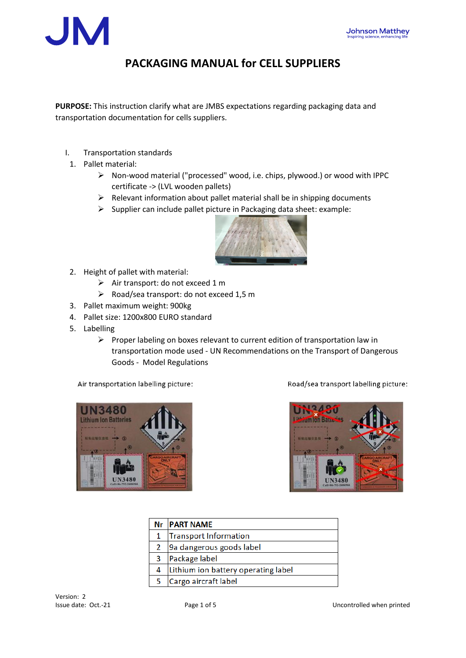

## **PACKAGING MANUAL for CELL SUPPLIERS**

**PURPOSE:** This instruction clarify what are JMBS expectations regarding packaging data and transportation documentation for cells suppliers.

- I. Transportation standards
- 1. Pallet material:
	- ➢ Non-wood material ("processed" wood, i.e. chips, plywood.) or wood with IPPC certificate -> (LVL wooden pallets)
	- ➢ Relevant information about pallet material shall be in shipping documents
	- ➢ Supplier can include pallet picture in Packaging data sheet: example:



- 2. Height of pallet with material:
	- ➢ Air transport: do not exceed 1 m
	- ➢ Road/sea transport: do not exceed 1,5 m
- 3. Pallet maximum weight: 900kg
- 4. Pallet size: 1200x800 EURO standard
- 5. Labelling
	- ➢ Proper labeling on boxes relevant to current edition of transportation law in transportation mode used - UN Recommendations on the Transport of Dangerous Goods - Model Regulations

Air transportation labelling picture:

Road/sea transport labelling picture:





|               | <b>Nr PART NAME</b>                 |
|---------------|-------------------------------------|
|               | Transport Information               |
| $\mathcal{P}$ | 9a dangerous goods label            |
| 3             | Package label                       |
| 4             | Lithium ion battery operating label |
|               | Cargo aircraft label                |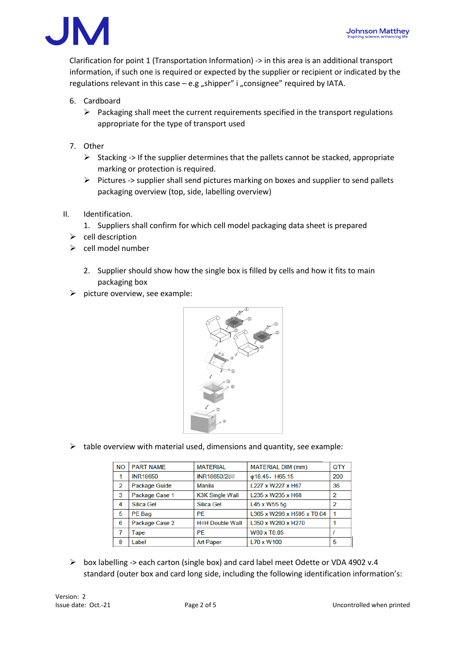

Clarification for point 1 (Transportation Information) -> in this area is an additional transport information, if such one is required or expected by the supplier or recipient or indicated by the regulations relevant in this case  $-$  e.g "shipper" i "consignee" required by IATA.

- 6. Cardboard
	- ➢ Packaging shall meet the current requirements specified in the transport regulations appropriate for the type of transport used
- 7. Other
	- $\triangleright$  Stacking -> If the supplier determines that the pallets cannot be stacked, appropriate marking or protection is required.
	- ➢ Pictures -> supplier shall send pictures marking on boxes and supplier to send pallets packaging overview (top, side, labelling overview)
- II. Identification.
	- 1. Suppliers shall confirm for which cell model packaging data sheet is prepared
	- ➢ cell description
	- ➢ cell model number
		- 2. Supplier should show how the single box is filled by cells and how it fits to main packaging box
	- $\triangleright$  picture overview, see example:



 $\triangleright$  table overview with material used, dimensions and quantity, see example:

| <b>NO</b> | <b>PART NAME</b>     | <b>MATERIAL</b>        | <b>MATERIAL DIM (mm)</b>   | QTY            |
|-----------|----------------------|------------------------|----------------------------|----------------|
|           | <b>INR18650</b>      | INR18650/2             | $\phi$ 18.45, H65.15       | 200            |
| 2         | <b>Package Guide</b> | Manila                 | L227 x W227 x H67          | 36             |
| 3         | Package Case 1       | <b>K3K Single Wall</b> | L235 x W235 x H68          | $\overline{2}$ |
| 4         | <b>Silica Gel</b>    | Silica Gel             | L45 x W55 5g               | 2              |
| 5         | PE Bag               | PF                     | L365 x W296 x H595 x T0.04 |                |
| 6         | Package Case 2       | <b>H=H Double Wall</b> | L350 x W280 x H270         |                |
| 7         | Tape                 | PF                     | W60 x T0.05                |                |
| 8         | Label                | <b>Art Paper</b>       | L70 x W100                 | 5              |

 $\triangleright$  box labelling -> each carton (single box) and card label meet Odette or VDA 4902 v.4 standard (outer box and card long side, including the following identification information's: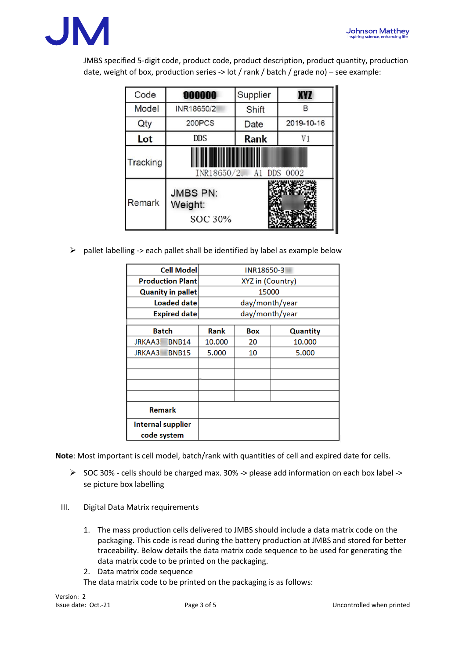

JMBS specified 5-digit code, product code, product description, product quantity, production date, weight of box, production series -> lot / rank / batch / grade no) – see example:

| Code              | 000000                                 | Supplier    | <b>XYZ</b>     |
|-------------------|----------------------------------------|-------------|----------------|
| Model             | INR18650/2<br>Shift                    |             | в              |
| Qty               | 200PCS                                 |             | 2019-10-16     |
| <b>DDS</b><br>Lot |                                        | <b>Rank</b> | V <sub>1</sub> |
| Tracking          | INR18650/2<br><b>DDS</b><br>0002<br>A1 |             |                |
| Remark            | <b>JMBS PN:</b><br>Weight:<br>SOC 30%  |             |                |

 $\triangleright$  pallet labelling -> each pallet shall be identified by label as example below

| <b>Cell Model</b>                |              | INR18650-3              |            |                 |  |
|----------------------------------|--------------|-------------------------|------------|-----------------|--|
| <b>Production Plant</b>          |              | <b>XYZ</b> in (Country) |            |                 |  |
| <b>Quanity in pallet</b>         |              | 15000                   |            |                 |  |
| Loaded date                      |              | day/month/year          |            |                 |  |
| <b>Expired date</b>              |              | day/month/year          |            |                 |  |
| <b>Batch</b>                     |              | Rank                    | <b>Box</b> | <b>Quantity</b> |  |
| <b>JRKAA3</b>                    | <b>BNB14</b> | 10.000                  | 20         | 10.000          |  |
| <b>JRKAA3</b>                    | <b>BNB15</b> | 5.000                   | 10         | 5.000           |  |
|                                  |              |                         |            |                 |  |
|                                  |              |                         |            |                 |  |
|                                  |              |                         |            |                 |  |
|                                  |              |                         |            |                 |  |
| Remark                           |              |                         |            |                 |  |
| Internal supplier<br>code system |              |                         |            |                 |  |

**Note**: Most important is cell model, batch/rank with quantities of cell and expired date for cells.

- $\triangleright$  SOC 30% cells should be charged max. 30% -> please add information on each box label -> se picture box labelling
- III. Digital Data Matrix requirements
	- 1. The mass production cells delivered to JMBS should include a data matrix code on the packaging. This code is read during the battery production at JMBS and stored for better traceability. Below details the data matrix code sequence to be used for generating the data matrix code to be printed on the packaging.
	- 2. Data matrix code sequence

The data matrix code to be printed on the packaging is as follows: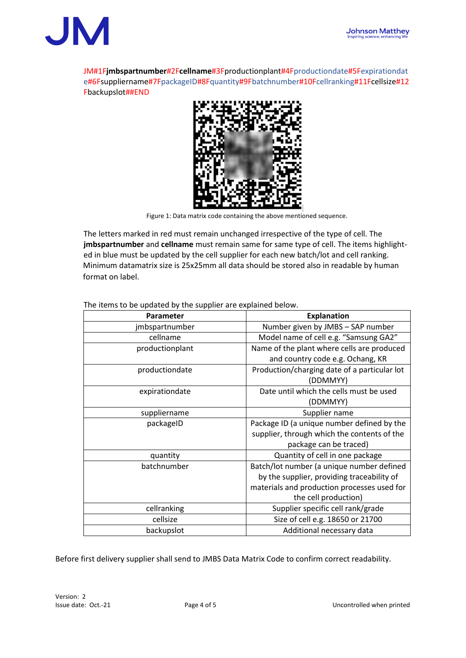

JM#1F**jmbspartnumber**#2F**cellname**#3Fproductionplant#4Fproductiondate#5Fexpirationdat e#6Fsuppliername#7FpackageID#8Fquantity#9Fbatchnumber#10Fcellranking#11Fcellsize#12 Fbackupslot##END



Figure 1: Data matrix code containing the above mentioned sequence.

The letters marked in red must remain unchanged irrespective of the type of cell. The **jmbspartnumber** and **cellname** must remain same for same type of cell. The items highlighted in blue must be updated by the cell supplier for each new batch/lot and cell ranking. Minimum datamatrix size is 25x25mm all data should be stored also in readable by human format on label.

| <b>Parameter</b> | <b>Explanation</b>                           |
|------------------|----------------------------------------------|
| jmbspartnumber   | Number given by JMBS - SAP number            |
| cellname         | Model name of cell e.g. "Samsung GA2"        |
| productionplant  | Name of the plant where cells are produced   |
|                  | and country code e.g. Ochang, KR             |
| productiondate   | Production/charging date of a particular lot |
|                  | (DDMMYY)                                     |
| expirationdate   | Date until which the cells must be used      |
|                  | (DDMMYY)                                     |
| suppliername     | Supplier name                                |
| packageID        | Package ID (a unique number defined by the   |
|                  | supplier, through which the contents of the  |
|                  | package can be traced)                       |
| quantity         | Quantity of cell in one package              |
| batchnumber      | Batch/lot number (a unique number defined    |
|                  | by the supplier, providing traceability of   |
|                  | materials and production processes used for  |
|                  | the cell production)                         |
| cellranking      | Supplier specific cell rank/grade            |
| cellsize         | Size of cell e.g. 18650 or 21700             |
| backupslot       | Additional necessary data                    |

The items to be updated by the supplier are explained below.

Before first delivery supplier shall send to JMBS Data Matrix Code to confirm correct readability.